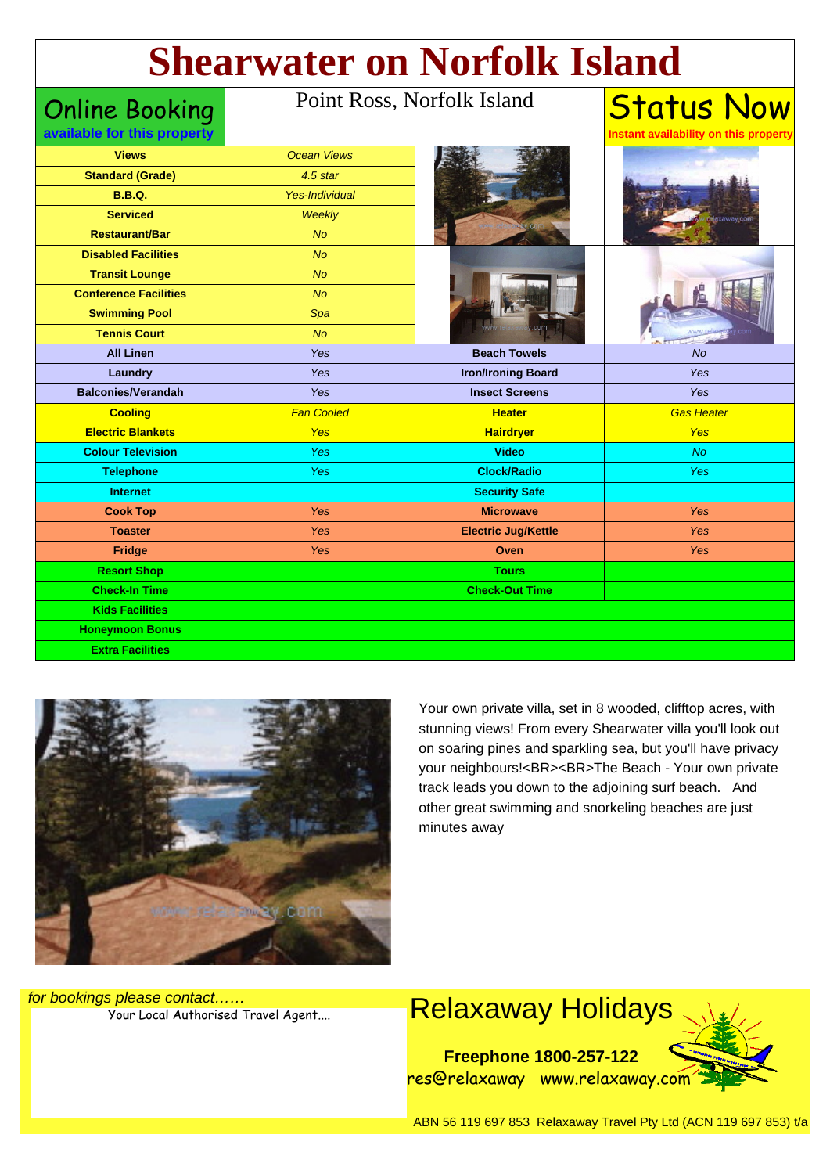# **Shearwater on Norfolk Island**

Online Booking **available for this property**

#### Point Ross, Norfolk Island

| <b>Views</b>                 | <b>Ocean Views</b>    |                            |                   |
|------------------------------|-----------------------|----------------------------|-------------------|
| <b>Standard (Grade)</b>      | 4.5 star              |                            |                   |
| <b>B.B.Q.</b>                | <b>Yes-Individual</b> |                            |                   |
| <b>Serviced</b>              | <b>Weekly</b>         |                            |                   |
| <b>Restaurant/Bar</b>        | <b>No</b>             |                            |                   |
| <b>Disabled Facilities</b>   | N <sub>O</sub>        |                            |                   |
| <b>Transit Lounge</b>        | <b>No</b>             |                            |                   |
| <b>Conference Facilities</b> | <b>No</b>             |                            |                   |
| <b>Swimming Pool</b>         | Spa                   |                            |                   |
| <b>Tennis Court</b>          | N <sub>O</sub>        |                            |                   |
| <b>All Linen</b>             | Yes                   | <b>Beach Towels</b>        | <b>No</b>         |
| Laundry                      | Yes                   | <b>Iron/Ironing Board</b>  | Yes               |
| <b>Balconies/Verandah</b>    | Yes                   | <b>Insect Screens</b>      | Yes               |
| <b>Cooling</b>               | <b>Fan Cooled</b>     | <b>Heater</b>              | <b>Gas Heater</b> |
| <b>Electric Blankets</b>     | Yes                   | <b>Hairdryer</b>           | <b>Yes</b>        |
| <b>Colour Television</b>     | <b>Yes</b>            | <b>Video</b>               | <b>No</b>         |
| <b>Telephone</b>             | Yes                   | <b>Clock/Radio</b>         | <b>Yes</b>        |
| <b>Internet</b>              |                       | <b>Security Safe</b>       |                   |
| <b>Cook Top</b>              | Yes                   | <b>Microwave</b>           | Yes               |
| <b>Toaster</b>               | Yes                   | <b>Electric Jug/Kettle</b> | Yes               |
| Fridge                       | <b>Yes</b>            | Oven                       | <b>Yes</b>        |
| <b>Resort Shop</b>           |                       | <b>Tours</b>               |                   |
| <b>Check-In Time</b>         |                       | <b>Check-Out Time</b>      |                   |
| <b>Kids Facilities</b>       |                       |                            |                   |
| <b>Honeymoon Bonus</b>       |                       |                            |                   |
| <b>Extra Facilities</b>      |                       |                            |                   |
|                              |                       |                            |                   |



Your own private villa, set in 8 wooded, clifftop acres, with stunning views! From every Shearwater villa you'll look out on soaring pines and sparkling sea, but you'll have privacy your neighbours!<BR><BR>The Beach - Your own private track leads you down to the adjoining surf beach. And other great swimming and snorkeling beaches are just minutes away

Status Now **Instant availability on this property**

for bookings please contact……